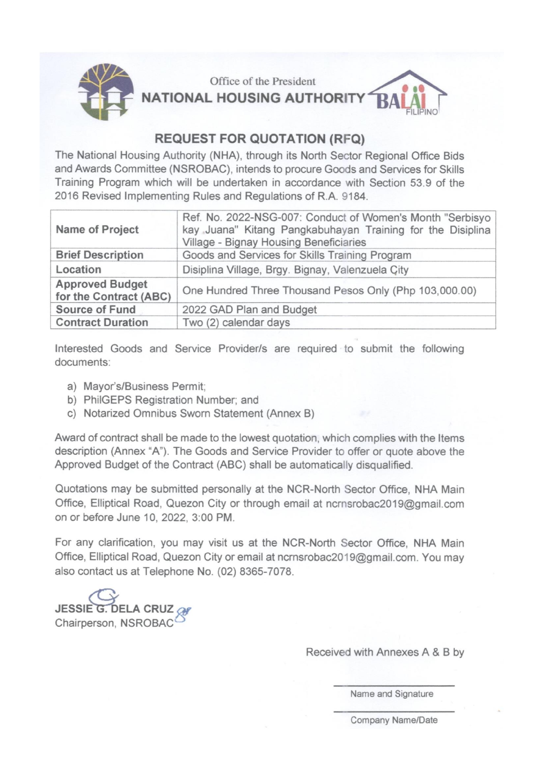

Office of the President **NATIONAL HOUSING AUTHORITY** 



# **REQUEST FOR QUOTATION (RFQ)**

The National Housing Authority (NHA), through its North Sector Regional Office Bids and Awards Committee (NSROBAC), intends to procure Goods and Services for Skills Training Program which will be undertaken in accordance with Section 53.9 of the 2016 Revised Implementing Rules and Regulations of R.A. 9184.

| Name of Project                                  | Ref. No. 2022-NSG-007: Conduct of Women's Month "Serbisyo<br>kay Juana" Kitang Pangkabuhayan Training for the Disiplina<br>Village - Bignay Housing Beneficiaries |  |  |
|--------------------------------------------------|-------------------------------------------------------------------------------------------------------------------------------------------------------------------|--|--|
| <b>Brief Description</b>                         | Goods and Services for Skills Training Program                                                                                                                    |  |  |
| Location                                         | Disiplina Village, Brgy. Bignay, Valenzuela City                                                                                                                  |  |  |
| <b>Approved Budget</b><br>for the Contract (ABC) | One Hundred Three Thousand Pesos Only (Php 103,000.00)                                                                                                            |  |  |
| <b>Source of Fund</b>                            | 2022 GAD Plan and Budget                                                                                                                                          |  |  |
| <b>Contract Duration</b>                         | Two (2) calendar days                                                                                                                                             |  |  |

Interested Goods and Service Provider/s are required to submit the following documents:

- a) Mayor's/Business Permit:
- b) PhilGEPS Registration Number; and
- c) Notarized Omnibus Sworn Statement (Annex B)

Award of contract shall be made to the lowest quotation, which complies with the Items description (Annex "A"). The Goods and Service Provider to offer or quote above the Approved Budget of the Contract (ABC) shall be automatically disqualified.

Quotations may be submitted personally at the NCR-North Sector Office, NHA Main Office, Elliptical Road, Quezon City or through email at ncrnsrobac2019@gmail.com on or before June 10, 2022, 3:00 PM.

For any clarification, you may visit us at the NCR-North Sector Office, NHA Main Office, Elliptical Road, Quezon City or email at ncrnsrobac2019@gmail.com. You may also contact us at Telephone No. (02) 8365-7078.

**JESSIE G DELA CRUZ** Chairperson, NSROBAC

Received with Annexes A & B by

Name and Signature

Company Name/Date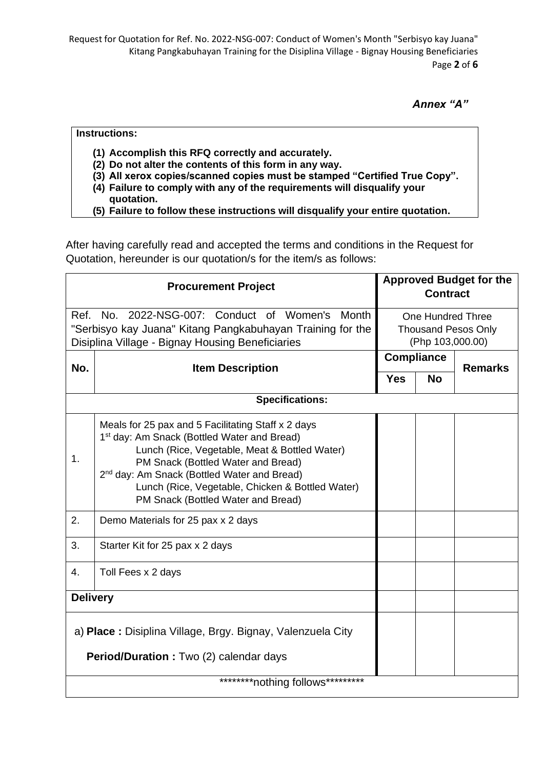Request for Quotation for Ref. No. 2022-NSG-007: Conduct of Women's Month "Serbisyo kay Juana" Kitang Pangkabuhayan Training for the Disiplina Village - Bignay Housing Beneficiaries Page **2** of **6**

*Annex "A"*

## **Instructions:**

- **(1) Accomplish this RFQ correctly and accurately.**
- **(2) Do not alter the contents of this form in any way.**
- **(3) All xerox copies/scanned copies must be stamped "Certified True Copy".**
- **(4) Failure to comply with any of the requirements will disqualify your quotation.**
- **(5) Failure to follow these instructions will disqualify your entire quotation.**

After having carefully read and accepted the terms and conditions in the Request for Quotation, hereunder is our quotation/s for the item/s as follows:

| <b>Procurement Project</b>                                                                                                                                           |                                                                                                                                                                                                                                                                                                                                                           |  | <b>Approved Budget for the</b><br><b>Contract</b>                          |                |  |  |
|----------------------------------------------------------------------------------------------------------------------------------------------------------------------|-----------------------------------------------------------------------------------------------------------------------------------------------------------------------------------------------------------------------------------------------------------------------------------------------------------------------------------------------------------|--|----------------------------------------------------------------------------|----------------|--|--|
| Ref. No. 2022-NSG-007: Conduct of Women's<br>Month<br>"Serbisyo kay Juana" Kitang Pangkabuhayan Training for the<br>Disiplina Village - Bignay Housing Beneficiaries |                                                                                                                                                                                                                                                                                                                                                           |  | <b>One Hundred Three</b><br><b>Thousand Pesos Only</b><br>(Php 103,000.00) |                |  |  |
| No.                                                                                                                                                                  | <b>Item Description</b>                                                                                                                                                                                                                                                                                                                                   |  | <b>Compliance</b>                                                          | <b>Remarks</b> |  |  |
|                                                                                                                                                                      |                                                                                                                                                                                                                                                                                                                                                           |  | <b>No</b>                                                                  |                |  |  |
| <b>Specifications:</b>                                                                                                                                               |                                                                                                                                                                                                                                                                                                                                                           |  |                                                                            |                |  |  |
| 1.                                                                                                                                                                   | Meals for 25 pax and 5 Facilitating Staff x 2 days<br>1 <sup>st</sup> day: Am Snack (Bottled Water and Bread)<br>Lunch (Rice, Vegetable, Meat & Bottled Water)<br>PM Snack (Bottled Water and Bread)<br>2 <sup>nd</sup> day: Am Snack (Bottled Water and Bread)<br>Lunch (Rice, Vegetable, Chicken & Bottled Water)<br>PM Snack (Bottled Water and Bread) |  |                                                                            |                |  |  |
| 2.                                                                                                                                                                   | Demo Materials for 25 pax x 2 days                                                                                                                                                                                                                                                                                                                        |  |                                                                            |                |  |  |
| 3.                                                                                                                                                                   | Starter Kit for 25 pax x 2 days                                                                                                                                                                                                                                                                                                                           |  |                                                                            |                |  |  |
| 4.                                                                                                                                                                   | Toll Fees x 2 days                                                                                                                                                                                                                                                                                                                                        |  |                                                                            |                |  |  |
| <b>Delivery</b>                                                                                                                                                      |                                                                                                                                                                                                                                                                                                                                                           |  |                                                                            |                |  |  |
| a) Place: Disiplina Village, Brgy. Bignay, Valenzuela City<br>Period/Duration: Two (2) calendar days                                                                 |                                                                                                                                                                                                                                                                                                                                                           |  |                                                                            |                |  |  |
| *********nothing follows*********                                                                                                                                    |                                                                                                                                                                                                                                                                                                                                                           |  |                                                                            |                |  |  |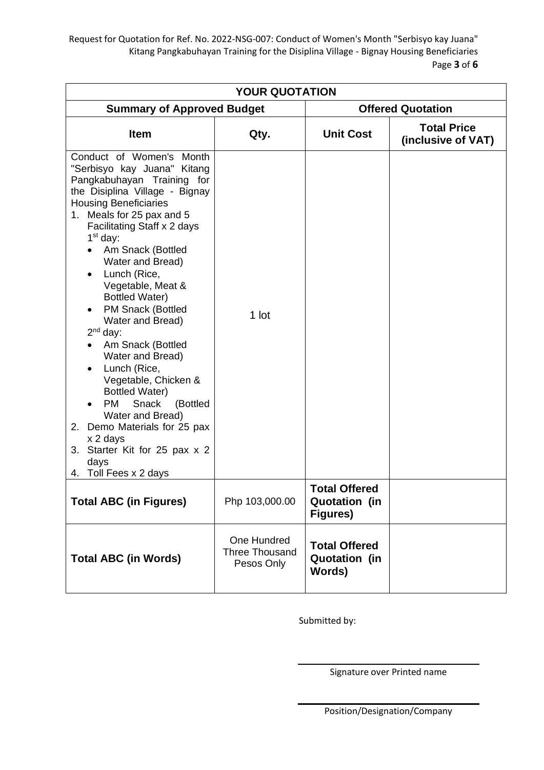Request for Quotation for Ref. No. 2022-NSG-007: Conduct of Women's Month "Serbisyo kay Juana" Kitang Pangkabuhayan Training for the Disiplina Village - Bignay Housing Beneficiaries Page **3** of **6**

| <b>YOUR QUOTATION</b>                                                                                                                                                                                                                                                                                                                                                                                                                                                                                                                                                                                                                                                                      |                                             |                                                                 |                                          |  |  |  |  |  |  |
|--------------------------------------------------------------------------------------------------------------------------------------------------------------------------------------------------------------------------------------------------------------------------------------------------------------------------------------------------------------------------------------------------------------------------------------------------------------------------------------------------------------------------------------------------------------------------------------------------------------------------------------------------------------------------------------------|---------------------------------------------|-----------------------------------------------------------------|------------------------------------------|--|--|--|--|--|--|
| <b>Summary of Approved Budget</b>                                                                                                                                                                                                                                                                                                                                                                                                                                                                                                                                                                                                                                                          |                                             | <b>Offered Quotation</b>                                        |                                          |  |  |  |  |  |  |
| <b>Item</b>                                                                                                                                                                                                                                                                                                                                                                                                                                                                                                                                                                                                                                                                                | Qty.                                        | <b>Unit Cost</b>                                                | <b>Total Price</b><br>(inclusive of VAT) |  |  |  |  |  |  |
| Conduct of Women's Month<br>"Serbisyo kay Juana" Kitang<br>Pangkabuhayan Training for<br>the Disiplina Village - Bignay<br><b>Housing Beneficiaries</b><br>Meals for 25 pax and 5<br>1.<br>Facilitating Staff x 2 days<br>$1st$ day:<br>Am Snack (Bottled<br>Water and Bread)<br>Lunch (Rice,<br>Vegetable, Meat &<br><b>Bottled Water)</b><br><b>PM Snack (Bottled</b><br>Water and Bread)<br>$2nd$ day:<br>Am Snack (Bottled<br>Water and Bread)<br>Lunch (Rice,<br>Vegetable, Chicken &<br><b>Bottled Water)</b><br>Snack<br>(Bottled<br><b>PM</b><br>Water and Bread)<br>Demo Materials for 25 pax<br>2.<br>x 2 days<br>3. Starter Kit for 25 pax x 2<br>days<br>4. Toll Fees x 2 days | 1 lot                                       |                                                                 |                                          |  |  |  |  |  |  |
| <b>Total ABC (in Figures)</b>                                                                                                                                                                                                                                                                                                                                                                                                                                                                                                                                                                                                                                                              | Php 103,000.00                              | <b>Total Offered</b><br><b>Quotation (in</b><br><b>Figures)</b> |                                          |  |  |  |  |  |  |
| <b>Total ABC (in Words)</b>                                                                                                                                                                                                                                                                                                                                                                                                                                                                                                                                                                                                                                                                | One Hundred<br>Three Thousand<br>Pesos Only | <b>Total Offered</b><br><b>Quotation (in</b><br>Words)          |                                          |  |  |  |  |  |  |

Submitted by:

Signature over Printed name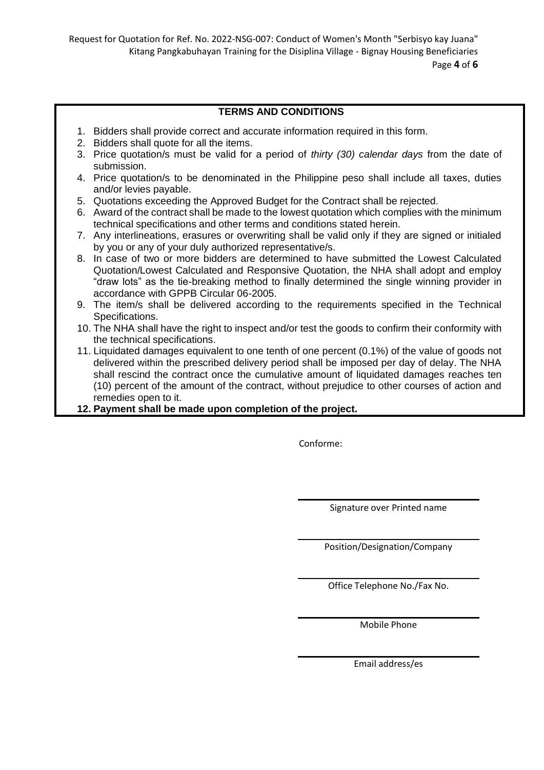Request for Quotation for Ref. No. 2022-NSG-007: Conduct of Women's Month "Serbisyo kay Juana" Kitang Pangkabuhayan Training for the Disiplina Village - Bignay Housing Beneficiaries Page **4** of **6**

# **TERMS AND CONDITIONS**

- 1. Bidders shall provide correct and accurate information required in this form.
- 2. Bidders shall quote for all the items.
- 3. Price quotation/s must be valid for a period of *thirty (30) calendar days* from the date of submission.
- 4. Price quotation/s to be denominated in the Philippine peso shall include all taxes, duties and/or levies payable.
- 5. Quotations exceeding the Approved Budget for the Contract shall be rejected.
- 6. Award of the contract shall be made to the lowest quotation which complies with the minimum technical specifications and other terms and conditions stated herein.
- 7. Any interlineations, erasures or overwriting shall be valid only if they are signed or initialed by you or any of your duly authorized representative/s.
- 8. In case of two or more bidders are determined to have submitted the Lowest Calculated Quotation/Lowest Calculated and Responsive Quotation, the NHA shall adopt and employ "draw lots" as the tie-breaking method to finally determined the single winning provider in accordance with GPPB Circular 06-2005.
- 9. The item/s shall be delivered according to the requirements specified in the Technical Specifications.
- 10. The NHA shall have the right to inspect and/or test the goods to confirm their conformity with the technical specifications.
- 11. Liquidated damages equivalent to one tenth of one percent (0.1%) of the value of goods not delivered within the prescribed delivery period shall be imposed per day of delay. The NHA shall rescind the contract once the cumulative amount of liquidated damages reaches ten (10) percent of the amount of the contract, without prejudice to other courses of action and remedies open to it.
- **12. Payment shall be made upon completion of the project.**

Conforme:

Signature over Printed name

Position/Designation/Company

Office Telephone No./Fax No.

Mobile Phone

Email address/es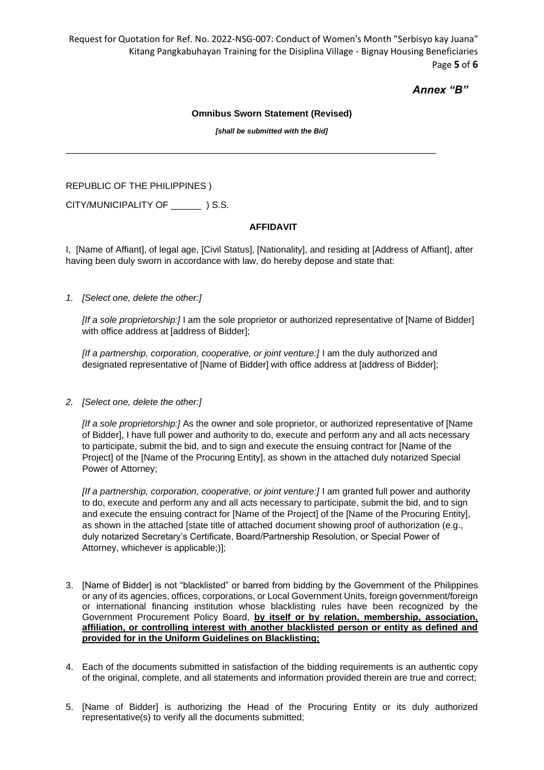Request for Quotation for Ref. No. 2022-NSG-007: Conduct of Women's Month "Serbisyo kay Juana" Kitang Pangkabuhayan Training for the Disiplina Village - Bignay Housing Beneficiaries Page **5** of **6**

# *Annex "B"*

#### **Omnibus Sworn Statement (Revised)**

*[shall be submitted with the Bid]*

 $\_$  ,  $\_$  ,  $\_$  ,  $\_$  ,  $\_$  ,  $\_$  ,  $\_$  ,  $\_$  ,  $\_$  ,  $\_$  ,  $\_$  ,  $\_$  ,  $\_$  ,  $\_$  ,  $\_$  ,  $\_$  ,  $\_$  ,  $\_$  ,  $\_$  ,  $\_$  ,  $\_$  ,  $\_$  ,  $\_$  ,  $\_$  ,  $\_$  ,  $\_$  ,  $\_$  ,  $\_$  ,  $\_$  ,  $\_$  ,  $\_$  ,  $\_$  ,  $\_$  ,  $\_$  ,  $\_$  ,  $\_$  ,  $\_$  ,

REPUBLIC OF THE PHILIPPINES )

CITY/MUNICIPALITY OF  $\qquad$  ) S.S.

### **AFFIDAVIT**

I, [Name of Affiant], of legal age, [Civil Status], [Nationality], and residing at [Address of Affiant], after having been duly sworn in accordance with law, do hereby depose and state that:

#### *1. [Select one, delete the other:]*

*[If a sole proprietorship:]* I am the sole proprietor or authorized representative of [Name of Bidder] with office address at [address of Bidder];

[If a partnership, corporation, cooperative, or joint venture:] I am the duly authorized and designated representative of [Name of Bidder] with office address at [address of Bidder];

*2. [Select one, delete the other:]*

*[If a sole proprietorship:]* As the owner and sole proprietor, or authorized representative of [Name of Bidder], I have full power and authority to do, execute and perform any and all acts necessary to participate, submit the bid, and to sign and execute the ensuing contract for [Name of the Project] of the [Name of the Procuring Entity], as shown in the attached duly notarized Special Power of Attorney;

*[If a partnership, corporation, cooperative, or joint venture:]* I am granted full power and authority to do, execute and perform any and all acts necessary to participate, submit the bid, and to sign and execute the ensuing contract for [Name of the Project] of the [Name of the Procuring Entity], as shown in the attached [state title of attached document showing proof of authorization (e.g., duly notarized Secretary's Certificate, Board/Partnership Resolution, or Special Power of Attorney, whichever is applicable;)];

- 3. [Name of Bidder] is not "blacklisted" or barred from bidding by the Government of the Philippines or any of its agencies, offices, corporations, or Local Government Units, foreign government/foreign or international financing institution whose blacklisting rules have been recognized by the Government Procurement Policy Board, **by itself or by relation, membership, association, affiliation, or controlling interest with another blacklisted person or entity as defined and provided for in the Uniform Guidelines on Blacklisting;**
- 4. Each of the documents submitted in satisfaction of the bidding requirements is an authentic copy of the original, complete, and all statements and information provided therein are true and correct;
- 5. [Name of Bidder] is authorizing the Head of the Procuring Entity or its duly authorized representative(s) to verify all the documents submitted;